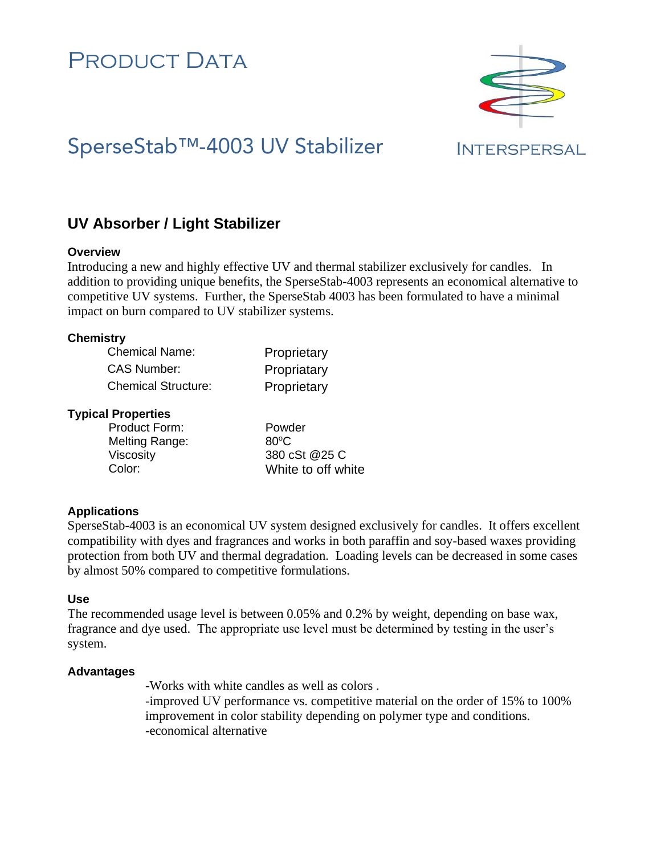# PRODUCT DATA



# SperseStab™-4003 UV Stabilizer

# **INTERSPERSAL**

# **UV Absorber / Light Stabilizer**

### **Overview**

Introducing a new and highly effective UV and thermal stabilizer exclusively for candles. In addition to providing unique benefits, the SperseStab-4003 represents an economical alternative to competitive UV systems. Further, the SperseStab 4003 has been formulated to have a minimal impact on burn compared to UV stabilizer systems.

### **Chemistry**

| <b>Chemical Name:</b>      | Proprietary |
|----------------------------|-------------|
| CAS Number:                | Propriatary |
| <b>Chemical Structure:</b> | Proprietary |

### **Typical Properties**

| <b>Product Form:</b> | Powder             |
|----------------------|--------------------|
| Melting Range:       | $80^{\circ}$ C     |
| <b>Viscosity</b>     | 380 cSt @25 C      |
| Color:               | White to off white |

## **Applications**

SperseStab-4003 is an economical UV system designed exclusively for candles. It offers excellent compatibility with dyes and fragrances and works in both paraffin and soy-based waxes providing protection from both UV and thermal degradation. Loading levels can be decreased in some cases by almost 50% compared to competitive formulations.

## **Use**

The recommended usage level is between 0.05% and 0.2% by weight, depending on base wax, fragrance and dye used. The appropriate use level must be determined by testing in the user's system.

## **Advantages**

-Works with white candles as well as colors .

-improved UV performance vs. competitive material on the order of 15% to 100% improvement in color stability depending on polymer type and conditions. -economical alternative